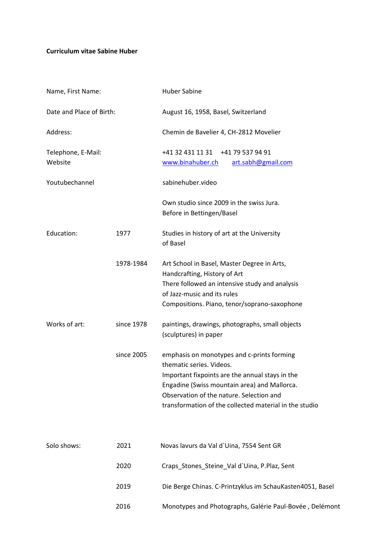## **Curriculum vitae Sabine Huber**

| Name, First Name:             |            | <b>Huber Sabine</b>                                                                                                                                                                                                                                                             |  |
|-------------------------------|------------|---------------------------------------------------------------------------------------------------------------------------------------------------------------------------------------------------------------------------------------------------------------------------------|--|
| Date and Place of Birth:      |            | August 16, 1958, Basel, Switzerland                                                                                                                                                                                                                                             |  |
| Address:                      |            | Chemin de Bavelier 4, CH-2812 Movelier                                                                                                                                                                                                                                          |  |
| Telephone, E-Mail:<br>Website |            | +41 32 431 11 31<br>+41 79 537 94 91<br>www.binahuber.ch<br>art.sabh@gmail.com                                                                                                                                                                                                  |  |
| Youtubechannel                |            | sabinehuber.video                                                                                                                                                                                                                                                               |  |
|                               |            | Own studio since 2009 in the swiss Jura.<br>Before in Bettingen/Basel                                                                                                                                                                                                           |  |
| Education:                    | 1977       | Studies in history of art at the University<br>of Basel                                                                                                                                                                                                                         |  |
|                               | 1978-1984  | Art School in Basel, Master Degree in Arts,<br>Handcrafting, History of Art<br>There followed an intensive study and analysis<br>of Jazz-music and its rules<br>Compositions. Piano, tenor/soprano-saxophone                                                                    |  |
| Works of art:                 | since 1978 | paintings, drawings, photographs, small objects<br>(sculptures) in paper                                                                                                                                                                                                        |  |
|                               | since 2005 | emphasis on monotypes and c-prints forming<br>thematic series. Videos.<br>Important fixpoints are the annual stays in the<br>Engadine (Swiss mountain area) and Mallorca.<br>Observation of the nature. Selection and<br>transformation of the collected material in the studio |  |
| Solo shows:                   | 2021       | Novas lavurs da Val d'Uina, 7554 Sent GR                                                                                                                                                                                                                                        |  |
|                               | 2020       | Craps_Stones_Steine_Val d'Uina, P.Plaz, Sent                                                                                                                                                                                                                                    |  |
|                               | 2019       | Die Berge Chinas. C-Printzyklus im SchauKasten4051, Basel                                                                                                                                                                                                                       |  |
|                               | 2016       | Monotypes and Photographs, Galérie Paul-Bovée, Delémont                                                                                                                                                                                                                         |  |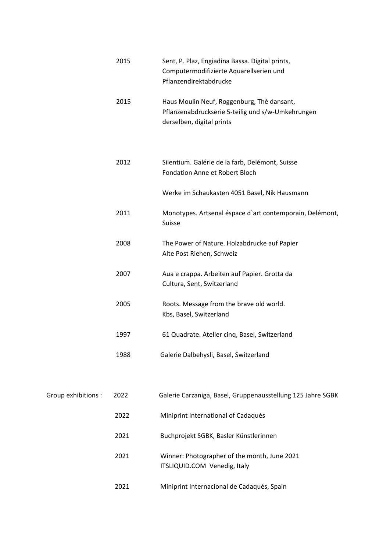|                    | 2015 | Sent, P. Plaz, Engiadina Bassa. Digital prints,<br>Computermodifizierte Aquarellserien und<br>Pflanzendirektabdrucke         |
|--------------------|------|------------------------------------------------------------------------------------------------------------------------------|
|                    | 2015 | Haus Moulin Neuf, Roggenburg, Thé dansant,<br>Pflanzenabdruckserie 5-teilig und s/w-Umkehrungen<br>derselben, digital prints |
|                    | 2012 | Silentium. Galérie de la farb, Delémont, Suisse<br><b>Fondation Anne et Robert Bloch</b>                                     |
|                    |      | Werke im Schaukasten 4051 Basel, Nik Hausmann                                                                                |
|                    | 2011 | Monotypes. Artsenal éspace d'art contemporain, Delémont,<br>Suisse                                                           |
|                    | 2008 | The Power of Nature. Holzabdrucke auf Papier<br>Alte Post Riehen, Schweiz                                                    |
|                    | 2007 | Aua e crappa. Arbeiten auf Papier. Grotta da<br>Cultura, Sent, Switzerland                                                   |
|                    | 2005 | Roots. Message from the brave old world.<br>Kbs, Basel, Switzerland                                                          |
|                    | 1997 | 61 Quadrate. Atelier cinq, Basel, Switzerland                                                                                |
|                    | 1988 | Galerie Dalbehysli, Basel, Switzerland                                                                                       |
|                    |      |                                                                                                                              |
| Group exhibitions: | 2022 | Galerie Carzaniga, Basel, Gruppenausstellung 125 Jahre SGBK                                                                  |
|                    | 2022 | Miniprint international of Cadaqués                                                                                          |
|                    | 2021 | Buchprojekt SGBK, Basler Künstlerinnen                                                                                       |
|                    | 2021 | Winner: Photographer of the month, June 2021<br>ITSLIQUID.COM Venedig, Italy                                                 |
|                    | 2021 | Miniprint Internacional de Cadaqués, Spain                                                                                   |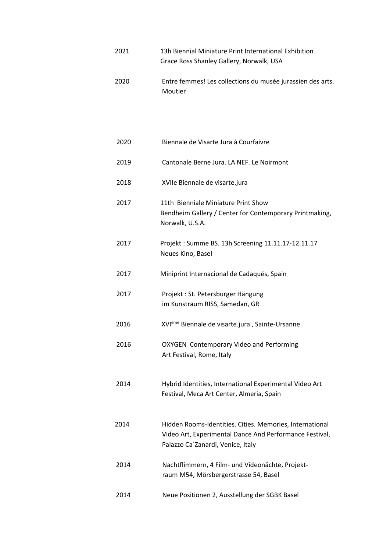- 2021 13h Biennial Miniature Print International Exhibition Grace Ross Shanley Gallery, Norwalk, USA
- 2020 Entre femmes! Les collections du musée jurassien des arts. Moutier

| 2020 | Biennale de Visarte Jura à Courfaivre                                                                                                                    |
|------|----------------------------------------------------------------------------------------------------------------------------------------------------------|
| 2019 | Cantonale Berne Jura, LA NEF. Le Noirmont                                                                                                                |
| 2018 | XVIIe Biennale de visarte.jura                                                                                                                           |
| 2017 | 11th Bienniale Miniature Print Show<br>Bendheim Gallery / Center for Contemporary Printmaking,<br>Norwalk, U.S.A.                                        |
| 2017 | Projekt: Summe BS. 13h Screening 11.11.17-12.11.17<br>Neues Kino, Basel                                                                                  |
| 2017 | Miniprint Internacional de Cadaqués, Spain                                                                                                               |
| 2017 | Projekt: St. Petersburger Hängung<br>im Kunstraum RISS, Samedan, GR                                                                                      |
| 2016 | XVIème Biennale de visarte.jura, Sainte-Ursanne                                                                                                          |
| 2016 | <b>OXYGEN</b> Contemporary Video and Performing<br>Art Festival, Rome, Italy                                                                             |
| 2014 | Hybrid Identities, International Experimental Video Art<br>Festival, Meca Art Center, Almeria, Spain                                                     |
| 2014 | Hidden Rooms-Identities. Cities. Memories, International<br>Video Art, Experimental Dance And Performance Festival,<br>Palazzo Ca`Zanardi, Venice, Italy |
| 2014 | Nachtflimmern, 4 Film- und Videonächte, Projekt-<br>raum M54, Mörsbergerstrasse 54, Basel                                                                |
| 2014 | Neue Positionen 2, Ausstellung der SGBK Basel                                                                                                            |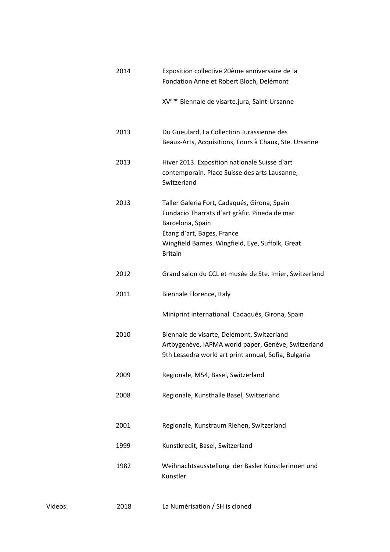|         | 2014 | Exposition collective 20ème anniversaire de la<br>Fondation Anne et Robert Bloch, Delémont                                                                                                                            |  |
|---------|------|-----------------------------------------------------------------------------------------------------------------------------------------------------------------------------------------------------------------------|--|
|         |      | XV <sup>ème</sup> Biennale de visarte.jura, Saint-Ursanne                                                                                                                                                             |  |
|         | 2013 | Du Gueulard, La Collection Jurassienne des<br>Beaux-Arts, Acquisitions, Fours à Chaux, Ste. Ursanne                                                                                                                   |  |
|         | 2013 | Hiver 2013. Exposition nationale Suisse d'art<br>contemporain. Place Suisse des arts Lausanne,<br>Switzerland                                                                                                         |  |
|         | 2013 | Taller Galeria Fort, Cadaqués, Girona, Spain<br>Fundacio Tharrats d'art gràfic. Pineda de mar<br>Barcelona, Spain<br>Étang d'art, Bages, France<br>Wingfield Barnes. Wingfield, Eye, Suffolk, Great<br><b>Britain</b> |  |
|         | 2012 | Grand salon du CCL et musée de Ste. Imier, Switzerland                                                                                                                                                                |  |
|         | 2011 | Biennale Florence, Italy                                                                                                                                                                                              |  |
|         |      | Miniprint international. Cadaqués, Girona, Spain                                                                                                                                                                      |  |
|         | 2010 | Biennale de visarte, Delémont, Switzerland<br>Artbygenève, IAPMA world paper, Genève, Switzerland<br>9th Lessedra world art print annual, Sofia, Bulgaria                                                             |  |
|         | 2009 | Regionale, M54, Basel, Switzerland                                                                                                                                                                                    |  |
| 2008    |      | Regionale, Kunsthalle Basel, Switzerland                                                                                                                                                                              |  |
|         | 2001 | Regionale, Kunstraum Riehen, Switzerland                                                                                                                                                                              |  |
|         | 1999 | Kunstkredit, Basel, Switzerland                                                                                                                                                                                       |  |
|         | 1982 | Weihnachtsausstellung der Basler Künstlerinnen und<br>Künstler                                                                                                                                                        |  |
| Videos: | 2018 | La Numérisation / SH is cloned                                                                                                                                                                                        |  |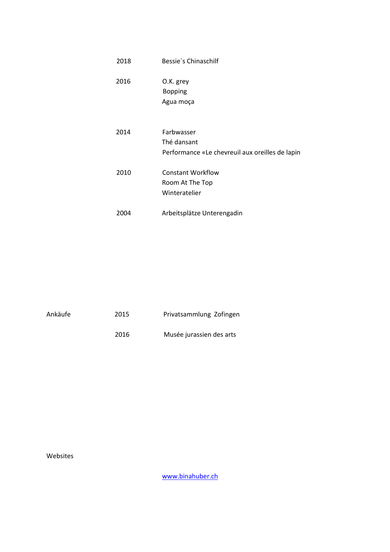| 2018 | Bessie's Chinaschilf                                                         |
|------|------------------------------------------------------------------------------|
| 2016 | O.K. grey<br><b>Bopping</b><br>Agua moça                                     |
| 2014 | Farbwasser<br>Thé dansant<br>Performance «Le chevreuil aux oreilles de lapin |
| 2010 | <b>Constant Workflow</b><br>Room At The Top<br>Winteratelier                 |
| 2004 | Arbeitsplätze Unterengadin                                                   |

| Ankäufe | 2015 | Privatsammlung Zofingen  |
|---------|------|--------------------------|
|         | 2016 | Musée jurassien des arts |

Websites

[www.binahuber.ch](http://www.binahuber.ch/)